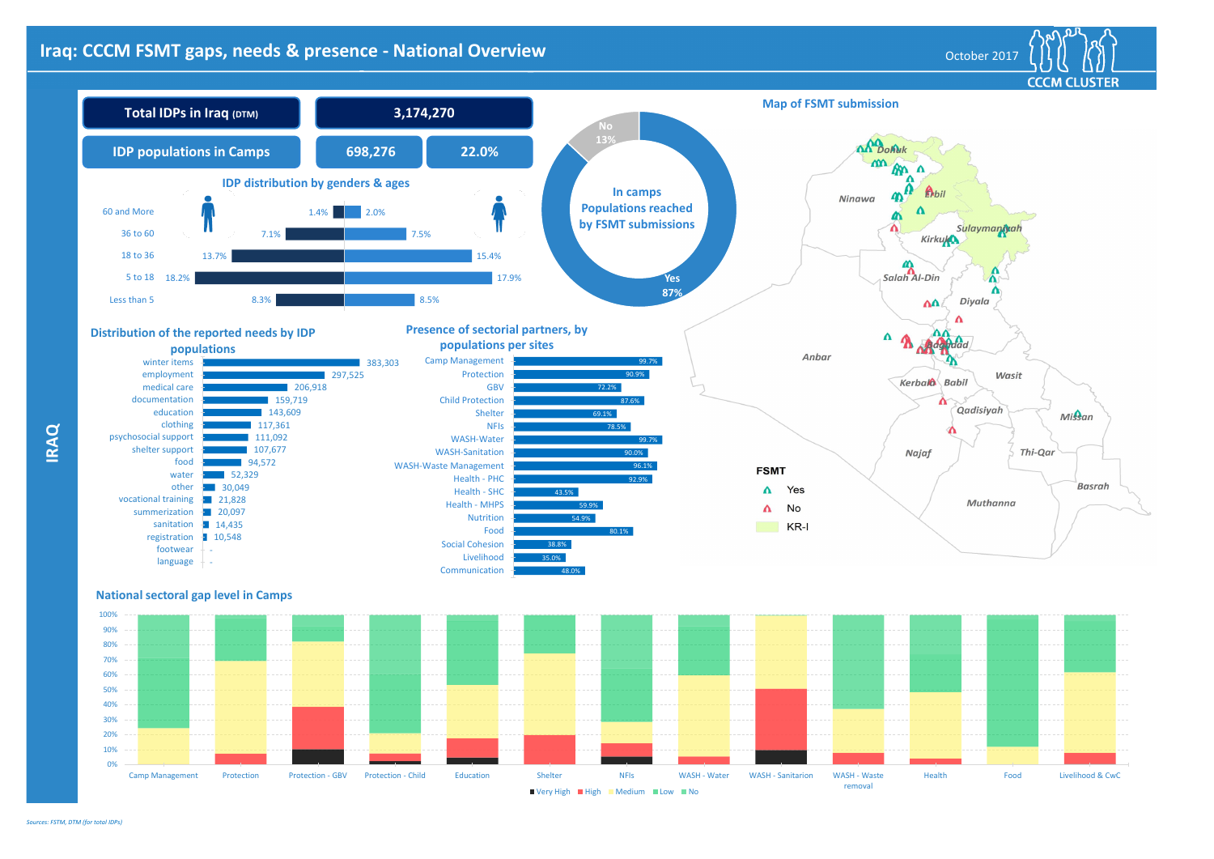**IRAQ**

## **Iraq: CCCM FSMT gaps, needs & presence - National Overview Material Community of the Coupon of Cotober 2017**



**CCCM CLUSTER**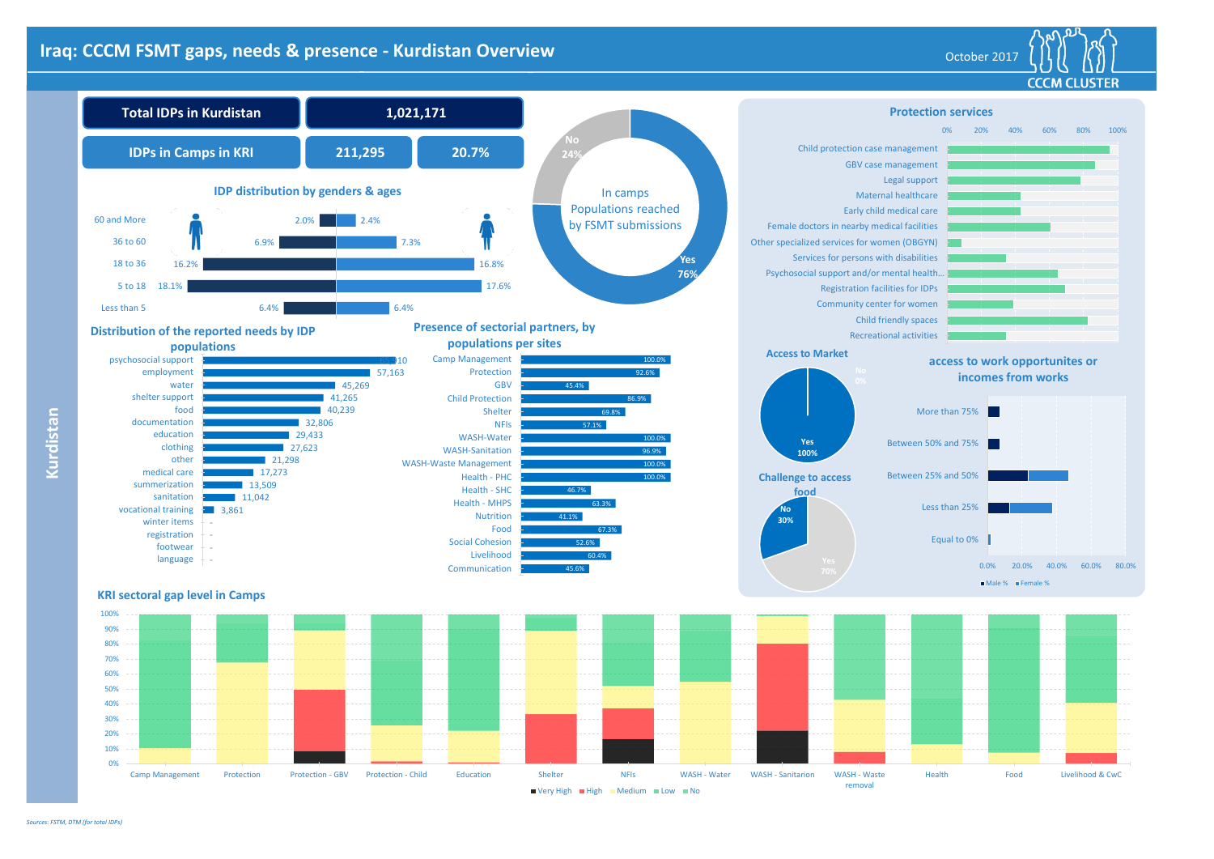**Kurdistan**

#### CCCM CLUSTER **Protection services** 0% 20% 40% 60% 80% 100% Child protection case management GBV case management Legal support Maternal healthcare Early child medical care Female doctors in nearby medical facilities Other specialized services for women (OBGYN) Services for persons with disabilities Psychosocial support and/or mental health…

# **Iraq: CCCM FSMT gaps, needs & presence - Kurdistan Overview Manual Active Contract Contract of Cotober 2017**







Registration facilities for IDPs Community center for women Child friendly spaces Recreational activities







*Sources: FSTM, DTM (for total IDPs)*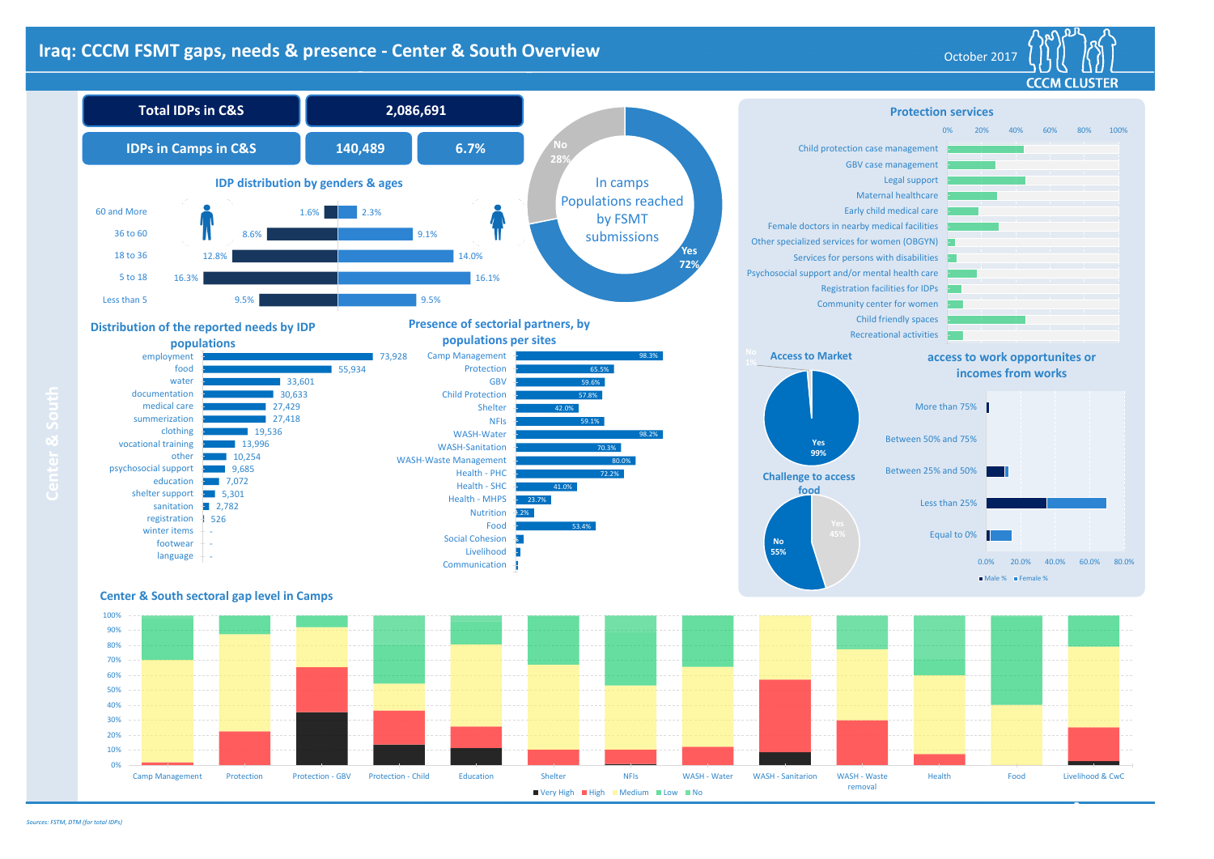## **Iraq: CCCM FSMT gaps, needs & presence - Center & South Overview Decree Acts and Sociober 2017** October 2017





#### **Center & South sectoral gap level in Camps**



#### **Protection services**

LISTER